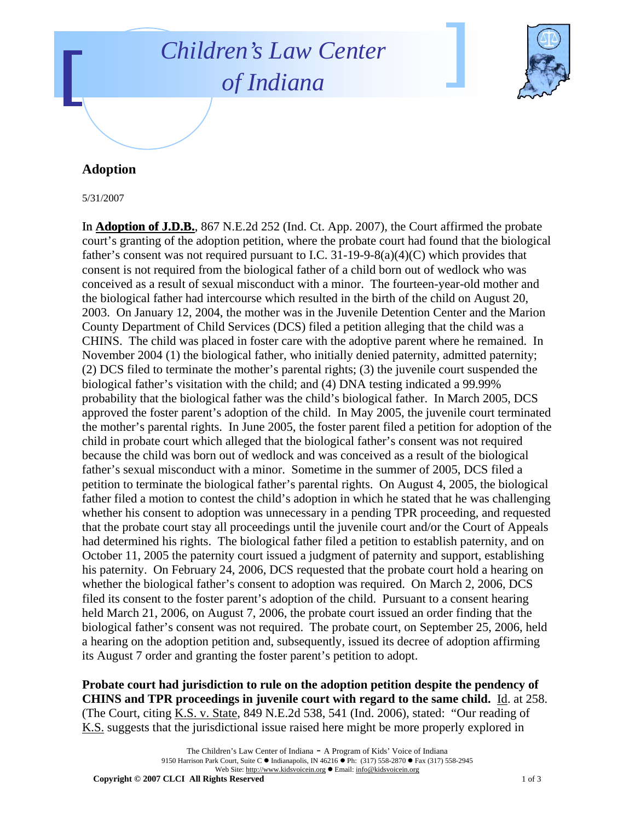## *Children's Law Center of Indiana*



## **Adoption**

5/31/2007

In **Adoption of J.D.B.**, 867 N.E.2d 252 (Ind. Ct. App. 2007), the Court affirmed the probate court's granting of the adoption petition, where the probate court had found that the biological father's consent was not required pursuant to I.C. 31-19-9-8(a)(4)(C) which provides that consent is not required from the biological father of a child born out of wedlock who was conceived as a result of sexual misconduct with a minor. The fourteen-year-old mother and the biological father had intercourse which resulted in the birth of the child on August 20, 2003. On January 12, 2004, the mother was in the Juvenile Detention Center and the Marion County Department of Child Services (DCS) filed a petition alleging that the child was a CHINS. The child was placed in foster care with the adoptive parent where he remained. In November 2004 (1) the biological father, who initially denied paternity, admitted paternity; (2) DCS filed to terminate the mother's parental rights; (3) the juvenile court suspended the biological father's visitation with the child; and (4) DNA testing indicated a 99.99% probability that the biological father was the child's biological father. In March 2005, DCS approved the foster parent's adoption of the child. In May 2005, the juvenile court terminated the mother's parental rights. In June 2005, the foster parent filed a petition for adoption of the child in probate court which alleged that the biological father's consent was not required because the child was born out of wedlock and was conceived as a result of the biological father's sexual misconduct with a minor. Sometime in the summer of 2005, DCS filed a petition to terminate the biological father's parental rights. On August 4, 2005, the biological father filed a motion to contest the child's adoption in which he stated that he was challenging whether his consent to adoption was unnecessary in a pending TPR proceeding, and requested that the probate court stay all proceedings until the juvenile court and/or the Court of Appeals had determined his rights. The biological father filed a petition to establish paternity, and on October 11, 2005 the paternity court issued a judgment of paternity and support, establishing his paternity. On February 24, 2006, DCS requested that the probate court hold a hearing on whether the biological father's consent to adoption was required. On March 2, 2006, DCS filed its consent to the foster parent's adoption of the child. Pursuant to a consent hearing held March 21, 2006, on August 7, 2006, the probate court issued an order finding that the biological father's consent was not required. The probate court, on September 25, 2006, held a hearing on the adoption petition and, subsequently, issued its decree of adoption affirming its August 7 order and granting the foster parent's petition to adopt.

**Probate court had jurisdiction to rule on the adoption petition despite the pendency of CHINS and TPR proceedings in juvenile court with regard to the same child.** Id. at 258. (The Court, citing K.S. v. State, 849 N.E.2d 538, 541 (Ind. 2006), stated: "Our reading of K.S. suggests that the jurisdictional issue raised here might be more properly explored in

**Copyright © 2007 CLCI All Rights Reserved** 1 of 3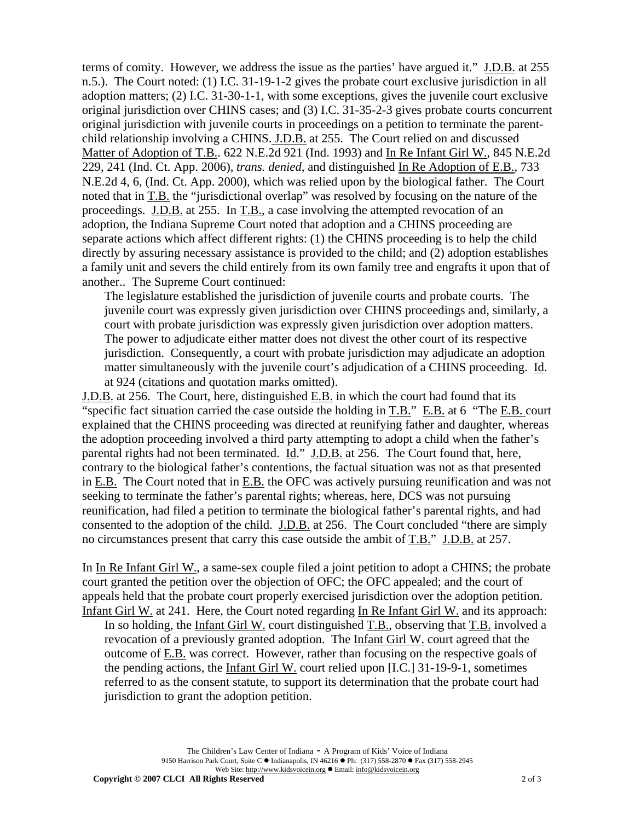terms of comity. However, we address the issue as the parties' have argued it." J.D.B. at 255 n.5.). The Court noted: (1) I.C. 31-19-1-2 gives the probate court exclusive jurisdiction in all adoption matters; (2) I.C. 31-30-1-1, with some exceptions, gives the juvenile court exclusive original jurisdiction over CHINS cases; and (3) I.C. 31-35-2-3 gives probate courts concurrent original jurisdiction with juvenile courts in proceedings on a petition to terminate the parentchild relationship involving a CHINS. J.D.B. at 255. The Court relied on and discussed Matter of Adoption of T.B.. 622 N.E.2d 921 (Ind. 1993) and In Re Infant Girl W., 845 N.E.2d 229, 241 (Ind. Ct. App. 2006), *trans. denied*, and distinguished In Re Adoption of E.B., 733 N.E.2d 4, 6, (Ind. Ct. App. 2000), which was relied upon by the biological father. The Court noted that in T.B. the "jurisdictional overlap" was resolved by focusing on the nature of the proceedings. J.D.B. at 255. In T.B., a case involving the attempted revocation of an adoption, the Indiana Supreme Court noted that adoption and a CHINS proceeding are separate actions which affect different rights: (1) the CHINS proceeding is to help the child directly by assuring necessary assistance is provided to the child; and (2) adoption establishes a family unit and severs the child entirely from its own family tree and engrafts it upon that of another.. The Supreme Court continued:

The legislature established the jurisdiction of juvenile courts and probate courts. The juvenile court was expressly given jurisdiction over CHINS proceedings and, similarly, a court with probate jurisdiction was expressly given jurisdiction over adoption matters. The power to adjudicate either matter does not divest the other court of its respective jurisdiction. Consequently, a court with probate jurisdiction may adjudicate an adoption matter simultaneously with the juvenile court's adjudication of a CHINS proceeding. Id. at 924 (citations and quotation marks omitted).

J.D.B. at 256. The Court, here, distinguished E.B. in which the court had found that its "specific fact situation carried the case outside the holding in T.B." E.B. at 6 "The E.B. court explained that the CHINS proceeding was directed at reunifying father and daughter, whereas the adoption proceeding involved a third party attempting to adopt a child when the father's parental rights had not been terminated. Id." J.D.B. at 256. The Court found that, here, contrary to the biological father's contentions, the factual situation was not as that presented in E.B. The Court noted that in E.B. the OFC was actively pursuing reunification and was not seeking to terminate the father's parental rights; whereas, here, DCS was not pursuing reunification, had filed a petition to terminate the biological father's parental rights, and had consented to the adoption of the child. J.D.B. at 256. The Court concluded "there are simply no circumstances present that carry this case outside the ambit of T.B." J.D.B. at 257.

In In Re Infant Girl W., a same-sex couple filed a joint petition to adopt a CHINS; the probate court granted the petition over the objection of OFC; the OFC appealed; and the court of appeals held that the probate court properly exercised jurisdiction over the adoption petition. Infant Girl W. at 241. Here, the Court noted regarding In Re Infant Girl W. and its approach:

In so holding, the Infant Girl W. court distinguished T.B., observing that T.B. involved a revocation of a previously granted adoption. The Infant Girl W. court agreed that the outcome of E.B. was correct. However, rather than focusing on the respective goals of the pending actions, the Infant Girl W. court relied upon [I.C.] 31-19-9-1, sometimes referred to as the consent statute, to support its determination that the probate court had jurisdiction to grant the adoption petition.